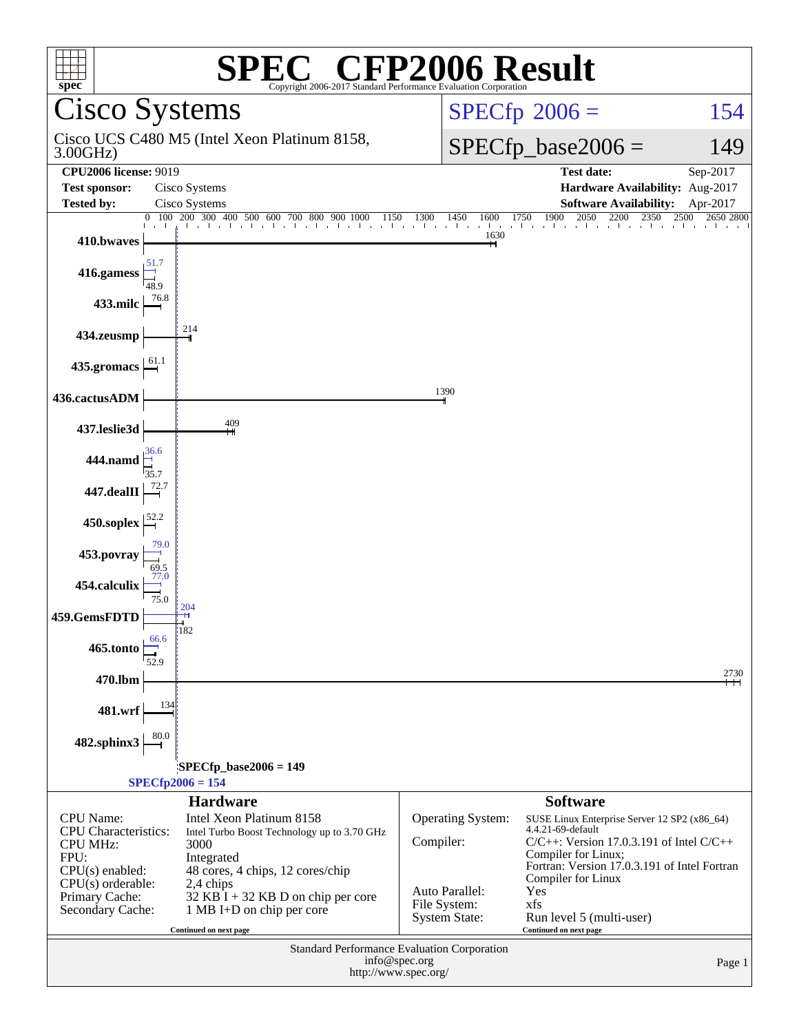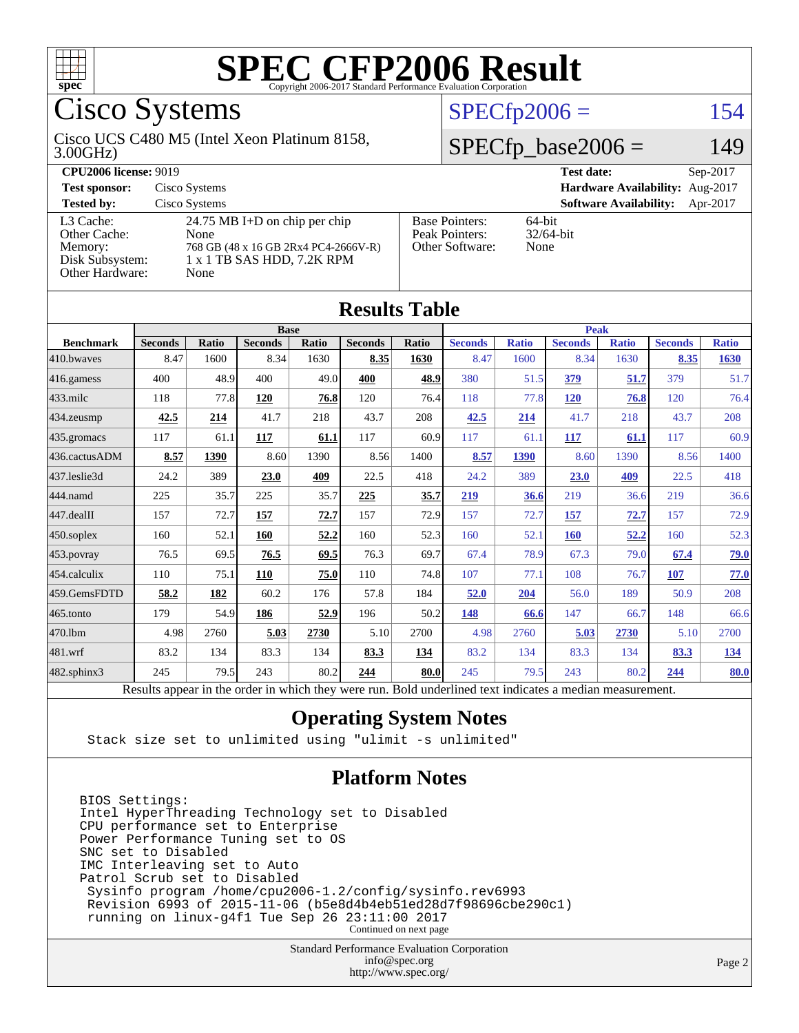

### Cisco Systems

#### 3.00GHz) Cisco UCS C480 M5 (Intel Xeon Platinum 8158,

# [Other Hardware:](http://www.spec.org/auto/cpu2006/Docs/result-fields.html#OtherHardware) None

| ____<br>-- | ~ ~ ~ ~ |
|------------|---------|
|            |         |

 $SPECTn2006 = 154$ 

#### $2006 = 149$

| <b>CPU2006 license: 9019</b> |                                      |                                 | <b>Test date:</b><br>$Sep-2017$           |  |  |
|------------------------------|--------------------------------------|---------------------------------|-------------------------------------------|--|--|
| <b>Test sponsor:</b>         | Cisco Systems                        | Hardware Availability: Aug-2017 |                                           |  |  |
| <b>Tested by:</b>            | Cisco Systems                        |                                 | <b>Software Availability:</b><br>Apr-2017 |  |  |
| L3 Cache:                    | 24.75 MB I+D on chip per chip        | <b>Base Pointers:</b>           | 64-bit                                    |  |  |
| Other Cache:                 | None                                 | Peak Pointers:                  | $32/64$ -bit                              |  |  |
| Memory:                      | 768 GB (48 x 16 GB 2Rx4 PC4-2666V-R) | Other Software:                 | None                                      |  |  |
| Disk Subsystem:              | 1 x 1 TB SAS HDD, 7.2 K RPM          |                                 |                                           |  |  |
| Other Hardware:              | None                                 |                                 |                                           |  |  |

**[Results Table](http://www.spec.org/auto/cpu2006/Docs/result-fields.html#ResultsTable)**

| Results Table    |                |              |                                                                                                          |       |                |       |                |              |                |              |                |              |
|------------------|----------------|--------------|----------------------------------------------------------------------------------------------------------|-------|----------------|-------|----------------|--------------|----------------|--------------|----------------|--------------|
|                  | <b>Base</b>    |              |                                                                                                          |       |                | Peak  |                |              |                |              |                |              |
| <b>Benchmark</b> | <b>Seconds</b> | <b>Ratio</b> | <b>Seconds</b>                                                                                           | Ratio | <b>Seconds</b> | Ratio | <b>Seconds</b> | <b>Ratio</b> | <b>Seconds</b> | <b>Ratio</b> | <b>Seconds</b> | <b>Ratio</b> |
| 410.bwaves       | 8.47           | 1600         | 8.34                                                                                                     | 1630  | 8.35           | 1630  | 8.47           | 1600         | 8.34           | 1630         | 8.35           | 1630         |
| 416.gamess       | 400            | 48.9         | 400                                                                                                      | 49.0  | 400            | 48.9  | 380            | 51.5         | 379            | 51.7         | 379            | 51.7         |
| $433$ .milc      | 118            | 77.8         | <b>120</b>                                                                                               | 76.8  | 120            | 76.4  | 118            | 77.8         | <b>120</b>     | 76.8         | 120            | 76.4         |
| 434.zeusmp       | 42.5           | 214          | 41.7                                                                                                     | 218   | 43.7           | 208   | 42.5           | 214          | 41.7           | 218          | 43.7           | 208          |
| 435.gromacs      | 117            | 61.1         | 117                                                                                                      | 61.1  | 117            | 60.9  | 117            | 61.1         | 117            | 61.1         | 117            | 60.9         |
| 436.cactusADM    | 8.57           | 1390         | 8.60                                                                                                     | 1390  | 8.56           | 1400  | 8.57           | 1390         | 8.60           | 1390         | 8.56           | 1400         |
| 437.leslie3d     | 24.2           | 389          | 23.0                                                                                                     | 409   | 22.5           | 418   | 24.2           | 389          | 23.0           | 409          | 22.5           | 418          |
| 444.namd         | 225            | 35.7         | 225                                                                                                      | 35.7  | 225            | 35.7  | 219            | 36.6         | 219            | 36.6         | 219            | 36.6         |
| 447.dealII       | 157            | 72.7         | 157                                                                                                      | 72.7  | 157            | 72.9  | 157            | 72.7         | 157            | 72.7         | 157            | 72.9         |
| 450.soplex       | 160            | 52.1         | 160                                                                                                      | 52.2  | 160            | 52.3  | 160            | 52.1         | 160            | 52.2         | 160            | 52.3         |
| 453.povray       | 76.5           | 69.5         | 76.5                                                                                                     | 69.5  | 76.3           | 69.7  | 67.4           | 78.9         | 67.3           | 79.0         | 67.4           | 79.0         |
| 454.calculix     | 110            | 75.1         | 110                                                                                                      | 75.0  | 110            | 74.8  | 107            | 77.1         | 108            | 76.7         | 107            | 77.0         |
| 459.GemsFDTD     | 58.2           | 182          | 60.2                                                                                                     | 176   | 57.8           | 184   | 52.0           | 204          | 56.0           | 189          | 50.9           | 208          |
| 465.tonto        | 179            | 54.9         | 186                                                                                                      | 52.9  | 196            | 50.2  | 148            | 66.6         | 147            | 66.7         | 148            | 66.6         |
| 470.1bm          | 4.98           | 2760         | 5.03                                                                                                     | 2730  | 5.10           | 2700  | 4.98           | 2760         | 5.03           | 2730         | 5.10           | 2700         |
| 481.wrf          | 83.2           | 134          | 83.3                                                                                                     | 134   | 83.3           | 134   | 83.2           | 134          | 83.3           | 134          | 83.3           | <u>134</u>   |
| 482.sphinx3      | 245            | 79.5         | 243                                                                                                      | 80.2  | 244            | 80.0  | 245            | 79.5         | 243            | 80.2         | 244            | 80.0         |
|                  |                |              | Results appear in the order in which they were run. Bold underlined text indicates a median measurement. |       |                |       |                |              |                |              |                |              |

#### **[Operating System Notes](http://www.spec.org/auto/cpu2006/Docs/result-fields.html#OperatingSystemNotes)**

Stack size set to unlimited using "ulimit -s unlimited"

#### **[Platform Notes](http://www.spec.org/auto/cpu2006/Docs/result-fields.html#PlatformNotes)**

BIOS Settings: Intel HyperThreading Technology set to Disabled CPU performance set to Enterprise Power Performance Tuning set to OS SNC set to Disabled IMC Interleaving set to Auto Patrol Scrub set to Disabled Sysinfo program /home/cpu2006-1.2/config/sysinfo.rev6993 Revision 6993 of 2015-11-06 (b5e8d4b4eb51ed28d7f98696cbe290c1) running on linux-g4f1 Tue Sep 26 23:11:00 2017 Continued on next page

> Standard Performance Evaluation Corporation [info@spec.org](mailto:info@spec.org) <http://www.spec.org/>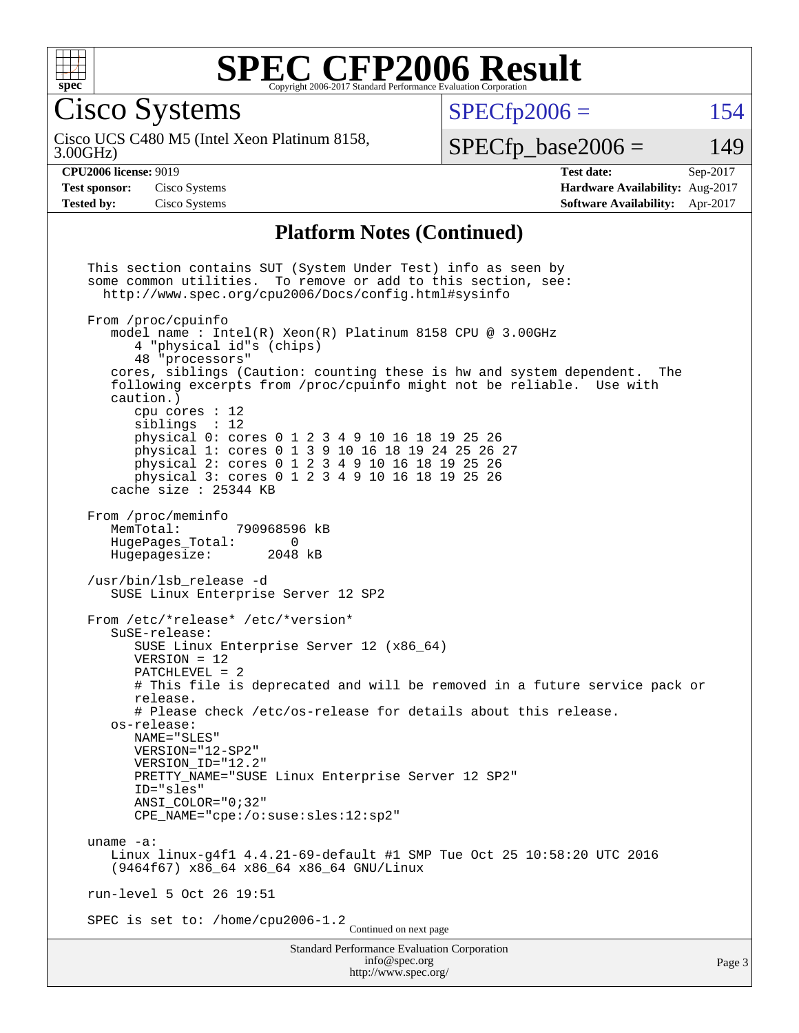

Cisco Systems

 $SPECTp2006 = 154$ 

3.00GHz) Cisco UCS C480 M5 (Intel Xeon Platinum 8158,

 $SPECfp\_base2006 = 149$ 

**[Tested by:](http://www.spec.org/auto/cpu2006/Docs/result-fields.html#Testedby)** Cisco Systems **[Software Availability:](http://www.spec.org/auto/cpu2006/Docs/result-fields.html#SoftwareAvailability)** Apr-2017

**[CPU2006 license:](http://www.spec.org/auto/cpu2006/Docs/result-fields.html#CPU2006license)** 9019 **[Test date:](http://www.spec.org/auto/cpu2006/Docs/result-fields.html#Testdate)** Sep-2017 **[Test sponsor:](http://www.spec.org/auto/cpu2006/Docs/result-fields.html#Testsponsor)** Cisco Systems **[Hardware Availability:](http://www.spec.org/auto/cpu2006/Docs/result-fields.html#HardwareAvailability)** Aug-2017

#### **[Platform Notes \(Continued\)](http://www.spec.org/auto/cpu2006/Docs/result-fields.html#PlatformNotes)**

Standard Performance Evaluation Corporation [info@spec.org](mailto:info@spec.org) This section contains SUT (System Under Test) info as seen by some common utilities. To remove or add to this section, see: <http://www.spec.org/cpu2006/Docs/config.html#sysinfo> From /proc/cpuinfo model name : Intel(R) Xeon(R) Platinum 8158 CPU @ 3.00GHz 4 "physical id"s (chips) 48 "processors" cores, siblings (Caution: counting these is hw and system dependent. The following excerpts from /proc/cpuinfo might not be reliable. Use with caution.) cpu cores : 12 siblings : 12 physical 0: cores 0 1 2 3 4 9 10 16 18 19 25 26 physical 1: cores 0 1 3 9 10 16 18 19 24 25 26 27 physical 2: cores 0 1 2 3 4 9 10 16 18 19 25 26 physical 3: cores 0 1 2 3 4 9 10 16 18 19 25 26 cache size : 25344 KB From /proc/meminfo MemTotal: 790968596 kB HugePages\_Total: 0 Hugepagesize: 2048 kB /usr/bin/lsb\_release -d SUSE Linux Enterprise Server 12 SP2 From /etc/\*release\* /etc/\*version\* SuSE-release: SUSE Linux Enterprise Server 12 (x86\_64) VERSION = 12 PATCHLEVEL = 2 # This file is deprecated and will be removed in a future service pack or release. # Please check /etc/os-release for details about this release. os-release: NAME="SLES" VERSION="12-SP2" VERSION\_ID="12.2" PRETTY NAME="SUSE Linux Enterprise Server 12 SP2" ID="sles" ANSI\_COLOR="0;32" CPE\_NAME="cpe:/o:suse:sles:12:sp2" uname -a: Linux linux-g4f1 4.4.21-69-default #1 SMP Tue Oct 25 10:58:20 UTC 2016 (9464f67) x86\_64 x86\_64 x86\_64 GNU/Linux run-level 5 Oct 26 19:51 SPEC is set to: /home/cpu2006-1.2<br>Continued on next page

<http://www.spec.org/>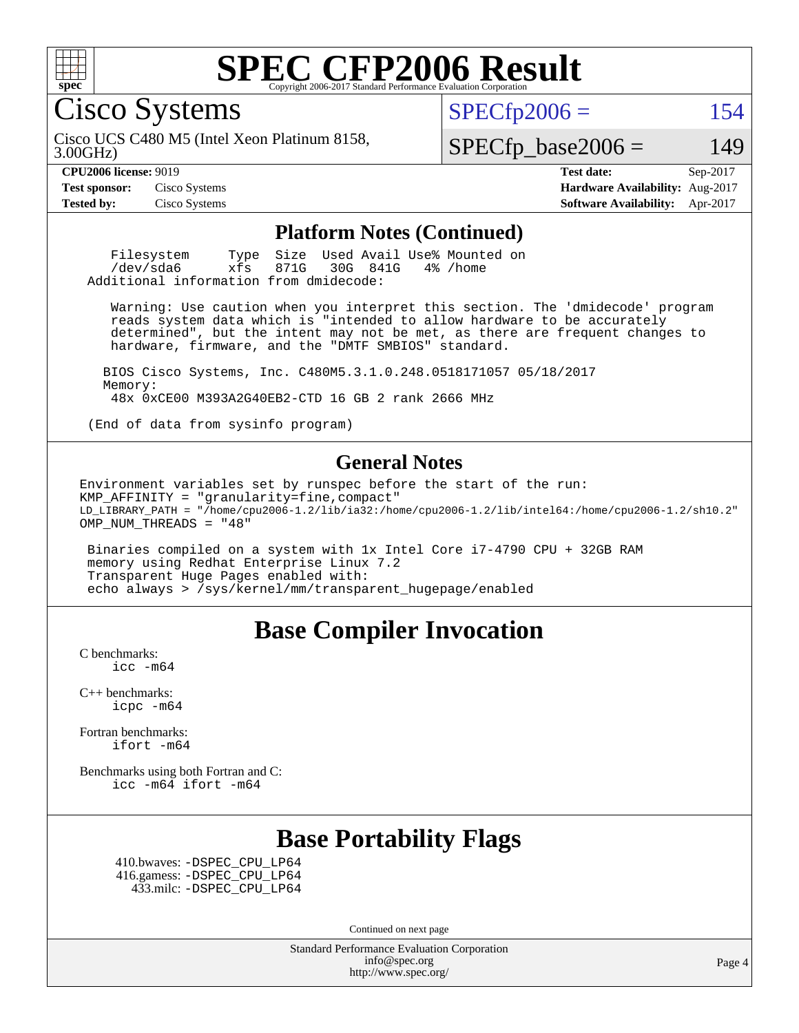

Cisco Systems

 $SPECTp2006 = 154$ 

3.00GHz) Cisco UCS C480 M5 (Intel Xeon Platinum 8158,

 $SPECfp\_base2006 = 149$ 

**[CPU2006 license:](http://www.spec.org/auto/cpu2006/Docs/result-fields.html#CPU2006license)** 9019 **[Test date:](http://www.spec.org/auto/cpu2006/Docs/result-fields.html#Testdate)** Sep-2017 **[Test sponsor:](http://www.spec.org/auto/cpu2006/Docs/result-fields.html#Testsponsor)** Cisco Systems **[Hardware Availability:](http://www.spec.org/auto/cpu2006/Docs/result-fields.html#HardwareAvailability)** Aug-2017 **[Tested by:](http://www.spec.org/auto/cpu2006/Docs/result-fields.html#Testedby)** Cisco Systems **[Software Availability:](http://www.spec.org/auto/cpu2006/Docs/result-fields.html#SoftwareAvailability)** Apr-2017

#### **[Platform Notes \(Continued\)](http://www.spec.org/auto/cpu2006/Docs/result-fields.html#PlatformNotes)**

Filesystem Type Size Used Avail Use% Mounted on<br>
/dev/sda6 xfs 871G 30G 841G 4% /home  $/$ dev $/$ sda $6$ Additional information from dmidecode:

 Warning: Use caution when you interpret this section. The 'dmidecode' program reads system data which is "intended to allow hardware to be accurately determined", but the intent may not be met, as there are frequent changes to hardware, firmware, and the "DMTF SMBIOS" standard.

 BIOS Cisco Systems, Inc. C480M5.3.1.0.248.0518171057 05/18/2017 Memory: 48x 0xCE00 M393A2G40EB2-CTD 16 GB 2 rank 2666 MHz

(End of data from sysinfo program)

#### **[General Notes](http://www.spec.org/auto/cpu2006/Docs/result-fields.html#GeneralNotes)**

Environment variables set by runspec before the start of the run:  $KMP$  AFFINITY = "granularity=fine, compact" LD\_LIBRARY\_PATH = "/home/cpu2006-1.2/lib/ia32:/home/cpu2006-1.2/lib/intel64:/home/cpu2006-1.2/sh10.2" OMP\_NUM\_THREADS = "48"

 Binaries compiled on a system with 1x Intel Core i7-4790 CPU + 32GB RAM memory using Redhat Enterprise Linux 7.2 Transparent Huge Pages enabled with: echo always > /sys/kernel/mm/transparent\_hugepage/enabled

#### **[Base Compiler Invocation](http://www.spec.org/auto/cpu2006/Docs/result-fields.html#BaseCompilerInvocation)**

[C benchmarks](http://www.spec.org/auto/cpu2006/Docs/result-fields.html#Cbenchmarks): [icc -m64](http://www.spec.org/cpu2006/results/res2017q4/cpu2006-20171031-50508.flags.html#user_CCbase_intel_icc_64bit_bda6cc9af1fdbb0edc3795bac97ada53)

[C++ benchmarks:](http://www.spec.org/auto/cpu2006/Docs/result-fields.html#CXXbenchmarks) [icpc -m64](http://www.spec.org/cpu2006/results/res2017q4/cpu2006-20171031-50508.flags.html#user_CXXbase_intel_icpc_64bit_fc66a5337ce925472a5c54ad6a0de310)

[Fortran benchmarks](http://www.spec.org/auto/cpu2006/Docs/result-fields.html#Fortranbenchmarks): [ifort -m64](http://www.spec.org/cpu2006/results/res2017q4/cpu2006-20171031-50508.flags.html#user_FCbase_intel_ifort_64bit_ee9d0fb25645d0210d97eb0527dcc06e)

[Benchmarks using both Fortran and C](http://www.spec.org/auto/cpu2006/Docs/result-fields.html#BenchmarksusingbothFortranandC): [icc -m64](http://www.spec.org/cpu2006/results/res2017q4/cpu2006-20171031-50508.flags.html#user_CC_FCbase_intel_icc_64bit_bda6cc9af1fdbb0edc3795bac97ada53) [ifort -m64](http://www.spec.org/cpu2006/results/res2017q4/cpu2006-20171031-50508.flags.html#user_CC_FCbase_intel_ifort_64bit_ee9d0fb25645d0210d97eb0527dcc06e)

#### **[Base Portability Flags](http://www.spec.org/auto/cpu2006/Docs/result-fields.html#BasePortabilityFlags)**

 410.bwaves: [-DSPEC\\_CPU\\_LP64](http://www.spec.org/cpu2006/results/res2017q4/cpu2006-20171031-50508.flags.html#suite_basePORTABILITY410_bwaves_DSPEC_CPU_LP64) 416.gamess: [-DSPEC\\_CPU\\_LP64](http://www.spec.org/cpu2006/results/res2017q4/cpu2006-20171031-50508.flags.html#suite_basePORTABILITY416_gamess_DSPEC_CPU_LP64) 433.milc: [-DSPEC\\_CPU\\_LP64](http://www.spec.org/cpu2006/results/res2017q4/cpu2006-20171031-50508.flags.html#suite_basePORTABILITY433_milc_DSPEC_CPU_LP64)

Continued on next page

Standard Performance Evaluation Corporation [info@spec.org](mailto:info@spec.org) <http://www.spec.org/>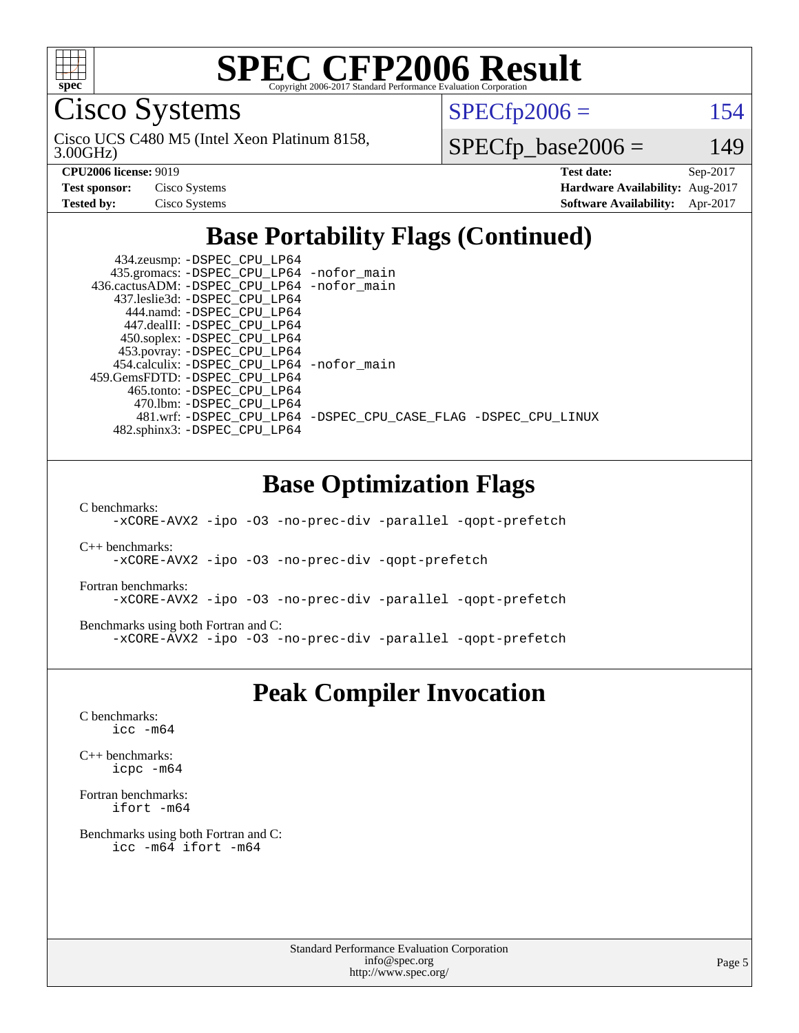

Cisco Systems

 $SPECTp2006 = 154$ 

3.00GHz) Cisco UCS C480 M5 (Intel Xeon Platinum 8158,

 $SPECfp\_base2006 = 149$ 

| <b>Test sponsor:</b> | Cisco Systems |
|----------------------|---------------|
| <b>Tested by:</b>    | Cisco Systems |

**[CPU2006 license:](http://www.spec.org/auto/cpu2006/Docs/result-fields.html#CPU2006license)** 9019 **[Test date:](http://www.spec.org/auto/cpu2006/Docs/result-fields.html#Testdate)** Sep-2017 **[Hardware Availability:](http://www.spec.org/auto/cpu2006/Docs/result-fields.html#HardwareAvailability)** Aug-2017 **[Software Availability:](http://www.spec.org/auto/cpu2006/Docs/result-fields.html#SoftwareAvailability)** Apr-2017

#### **[Base Portability Flags \(Continued\)](http://www.spec.org/auto/cpu2006/Docs/result-fields.html#BasePortabilityFlags)**

| 434.zeusmp: -DSPEC_CPU_LP64                |                                                                |
|--------------------------------------------|----------------------------------------------------------------|
| 435.gromacs: -DSPEC_CPU_LP64 -nofor_main   |                                                                |
| 436.cactusADM: -DSPEC CPU LP64 -nofor main |                                                                |
| 437.leslie3d: -DSPEC CPU LP64              |                                                                |
| 444.namd: -DSPEC CPU LP64                  |                                                                |
| 447.dealII: -DSPEC CPU LP64                |                                                                |
| 450.soplex: -DSPEC_CPU_LP64                |                                                                |
| 453.povray: -DSPEC_CPU_LP64                |                                                                |
| 454.calculix: -DSPEC CPU LP64 -nofor main  |                                                                |
| 459.GemsFDTD: -DSPEC CPU LP64              |                                                                |
| 465.tonto: - DSPEC CPU LP64                |                                                                |
| 470.1bm: - DSPEC CPU LP64                  |                                                                |
|                                            | 481.wrf: -DSPEC CPU_LP64 -DSPEC_CPU_CASE_FLAG -DSPEC_CPU_LINUX |
| 482.sphinx3: -DSPEC_CPU_LP64               |                                                                |
|                                            |                                                                |

#### **[Base Optimization Flags](http://www.spec.org/auto/cpu2006/Docs/result-fields.html#BaseOptimizationFlags)**

[C benchmarks](http://www.spec.org/auto/cpu2006/Docs/result-fields.html#Cbenchmarks):

[-xCORE-AVX2](http://www.spec.org/cpu2006/results/res2017q4/cpu2006-20171031-50508.flags.html#user_CCbase_f-xCORE-AVX2) [-ipo](http://www.spec.org/cpu2006/results/res2017q4/cpu2006-20171031-50508.flags.html#user_CCbase_f-ipo) [-O3](http://www.spec.org/cpu2006/results/res2017q4/cpu2006-20171031-50508.flags.html#user_CCbase_f-O3) [-no-prec-div](http://www.spec.org/cpu2006/results/res2017q4/cpu2006-20171031-50508.flags.html#user_CCbase_f-no-prec-div) [-parallel](http://www.spec.org/cpu2006/results/res2017q4/cpu2006-20171031-50508.flags.html#user_CCbase_f-parallel) [-qopt-prefetch](http://www.spec.org/cpu2006/results/res2017q4/cpu2006-20171031-50508.flags.html#user_CCbase_f-qopt-prefetch)

[C++ benchmarks:](http://www.spec.org/auto/cpu2006/Docs/result-fields.html#CXXbenchmarks) [-xCORE-AVX2](http://www.spec.org/cpu2006/results/res2017q4/cpu2006-20171031-50508.flags.html#user_CXXbase_f-xCORE-AVX2) [-ipo](http://www.spec.org/cpu2006/results/res2017q4/cpu2006-20171031-50508.flags.html#user_CXXbase_f-ipo) [-O3](http://www.spec.org/cpu2006/results/res2017q4/cpu2006-20171031-50508.flags.html#user_CXXbase_f-O3) [-no-prec-div](http://www.spec.org/cpu2006/results/res2017q4/cpu2006-20171031-50508.flags.html#user_CXXbase_f-no-prec-div) [-qopt-prefetch](http://www.spec.org/cpu2006/results/res2017q4/cpu2006-20171031-50508.flags.html#user_CXXbase_f-qopt-prefetch)

[Fortran benchmarks](http://www.spec.org/auto/cpu2006/Docs/result-fields.html#Fortranbenchmarks): [-xCORE-AVX2](http://www.spec.org/cpu2006/results/res2017q4/cpu2006-20171031-50508.flags.html#user_FCbase_f-xCORE-AVX2) [-ipo](http://www.spec.org/cpu2006/results/res2017q4/cpu2006-20171031-50508.flags.html#user_FCbase_f-ipo) [-O3](http://www.spec.org/cpu2006/results/res2017q4/cpu2006-20171031-50508.flags.html#user_FCbase_f-O3) [-no-prec-div](http://www.spec.org/cpu2006/results/res2017q4/cpu2006-20171031-50508.flags.html#user_FCbase_f-no-prec-div) [-parallel](http://www.spec.org/cpu2006/results/res2017q4/cpu2006-20171031-50508.flags.html#user_FCbase_f-parallel) [-qopt-prefetch](http://www.spec.org/cpu2006/results/res2017q4/cpu2006-20171031-50508.flags.html#user_FCbase_f-qopt-prefetch)

[Benchmarks using both Fortran and C](http://www.spec.org/auto/cpu2006/Docs/result-fields.html#BenchmarksusingbothFortranandC): [-xCORE-AVX2](http://www.spec.org/cpu2006/results/res2017q4/cpu2006-20171031-50508.flags.html#user_CC_FCbase_f-xCORE-AVX2) [-ipo](http://www.spec.org/cpu2006/results/res2017q4/cpu2006-20171031-50508.flags.html#user_CC_FCbase_f-ipo) [-O3](http://www.spec.org/cpu2006/results/res2017q4/cpu2006-20171031-50508.flags.html#user_CC_FCbase_f-O3) [-no-prec-div](http://www.spec.org/cpu2006/results/res2017q4/cpu2006-20171031-50508.flags.html#user_CC_FCbase_f-no-prec-div) [-parallel](http://www.spec.org/cpu2006/results/res2017q4/cpu2006-20171031-50508.flags.html#user_CC_FCbase_f-parallel) [-qopt-prefetch](http://www.spec.org/cpu2006/results/res2017q4/cpu2006-20171031-50508.flags.html#user_CC_FCbase_f-qopt-prefetch)

#### **[Peak Compiler Invocation](http://www.spec.org/auto/cpu2006/Docs/result-fields.html#PeakCompilerInvocation)**

[C benchmarks](http://www.spec.org/auto/cpu2006/Docs/result-fields.html#Cbenchmarks): [icc -m64](http://www.spec.org/cpu2006/results/res2017q4/cpu2006-20171031-50508.flags.html#user_CCpeak_intel_icc_64bit_bda6cc9af1fdbb0edc3795bac97ada53)

[C++ benchmarks:](http://www.spec.org/auto/cpu2006/Docs/result-fields.html#CXXbenchmarks) [icpc -m64](http://www.spec.org/cpu2006/results/res2017q4/cpu2006-20171031-50508.flags.html#user_CXXpeak_intel_icpc_64bit_fc66a5337ce925472a5c54ad6a0de310)

[Fortran benchmarks](http://www.spec.org/auto/cpu2006/Docs/result-fields.html#Fortranbenchmarks): [ifort -m64](http://www.spec.org/cpu2006/results/res2017q4/cpu2006-20171031-50508.flags.html#user_FCpeak_intel_ifort_64bit_ee9d0fb25645d0210d97eb0527dcc06e)

[Benchmarks using both Fortran and C](http://www.spec.org/auto/cpu2006/Docs/result-fields.html#BenchmarksusingbothFortranandC): [icc -m64](http://www.spec.org/cpu2006/results/res2017q4/cpu2006-20171031-50508.flags.html#user_CC_FCpeak_intel_icc_64bit_bda6cc9af1fdbb0edc3795bac97ada53) [ifort -m64](http://www.spec.org/cpu2006/results/res2017q4/cpu2006-20171031-50508.flags.html#user_CC_FCpeak_intel_ifort_64bit_ee9d0fb25645d0210d97eb0527dcc06e)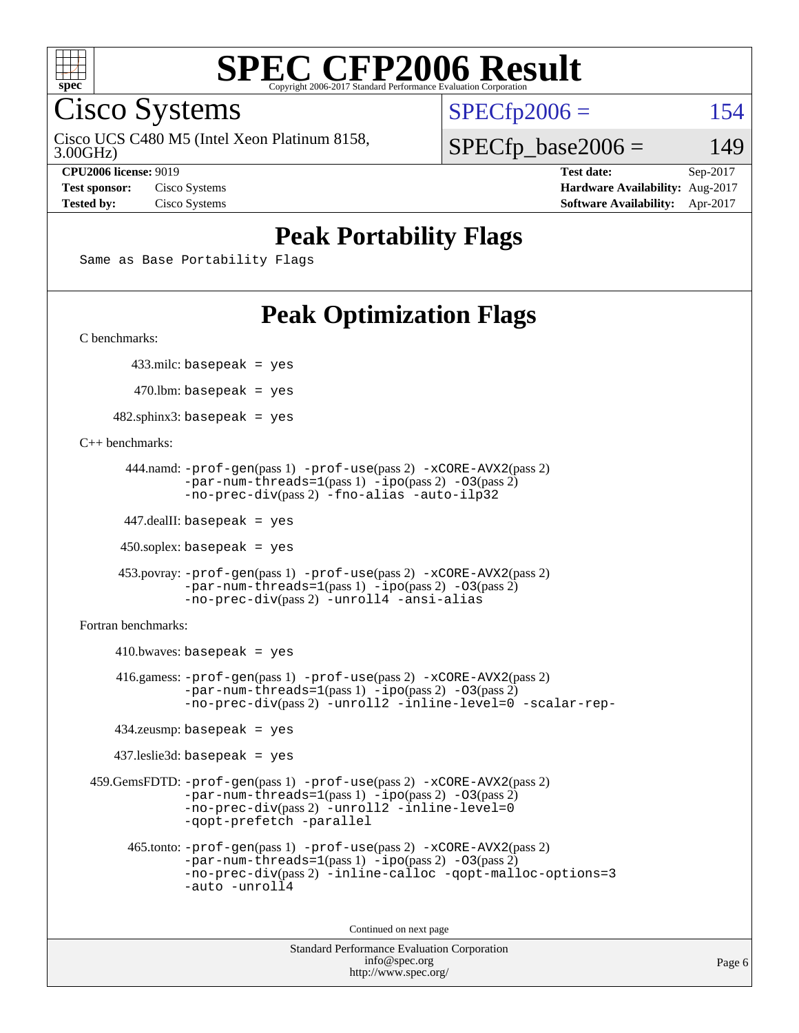

Cisco Systems

Cisco UCS C480 M5 (Intel Xeon Platinum 8158,

 $SPECTp2006 = 154$ 

3.00GHz)

 $SPECfp\_base2006 = 149$ 

**[CPU2006 license:](http://www.spec.org/auto/cpu2006/Docs/result-fields.html#CPU2006license)** 9019 **[Test date:](http://www.spec.org/auto/cpu2006/Docs/result-fields.html#Testdate)** Sep-2017 **[Test sponsor:](http://www.spec.org/auto/cpu2006/Docs/result-fields.html#Testsponsor)** Cisco Systems **[Hardware Availability:](http://www.spec.org/auto/cpu2006/Docs/result-fields.html#HardwareAvailability)** Aug-2017 **[Tested by:](http://www.spec.org/auto/cpu2006/Docs/result-fields.html#Testedby)** Cisco Systems **[Software Availability:](http://www.spec.org/auto/cpu2006/Docs/result-fields.html#SoftwareAvailability)** Apr-2017

#### **[Peak Portability Flags](http://www.spec.org/auto/cpu2006/Docs/result-fields.html#PeakPortabilityFlags)**

Same as Base Portability Flags

### **[Peak Optimization Flags](http://www.spec.org/auto/cpu2006/Docs/result-fields.html#PeakOptimizationFlags)**

[C benchmarks](http://www.spec.org/auto/cpu2006/Docs/result-fields.html#Cbenchmarks):

433.milc: basepeak = yes

 $470.$ lbm: basepeak = yes

 $482$ .sphinx3: basepeak = yes

[C++ benchmarks:](http://www.spec.org/auto/cpu2006/Docs/result-fields.html#CXXbenchmarks)

```
 444.namd: -prof-gen(pass 1) -prof-use(pass 2) -xCORE-AVX2(pass 2)
       -par-num-threads=1-ipo-O3(pass 2)-no-prec-div(pass 2) -fno-alias -auto-ilp32
```
447.dealII: basepeak = yes

 $450$ .soplex: basepeak = yes

```
 453.povray: -prof-gen(pass 1) -prof-use(pass 2) -xCORE-AVX2(pass 2)
         -par-num-threads=1-ipo-O3(pass 2)-no-prec-div(pass 2) -unroll4 -ansi-alias
```
[Fortran benchmarks](http://www.spec.org/auto/cpu2006/Docs/result-fields.html#Fortranbenchmarks):

```
410.bwaves: basepeak = yes 416.gamess: -prof-gen(pass 1) -prof-use(pass 2) -xCORE-AVX2(pass 2)
            -par-num-threads=1-ipo-O3(pass 2)-no-prec-div(pass 2) -unroll2 -inline-level=0 -scalar-rep-
    434.zeusmp: basepeak = yes
    437.leslie3d: basepeak = yes
 459.GemsFDTD: -prof-gen(pass 1) -prof-use(pass 2) -xCORE-AVX2(pass 2)
            -par-num-threads=1-ipo-O3(pass 2)-no-prec-div(pass 2) -unroll2 -inline-level=0
            -qopt-prefetch -parallel
      465.tonto: -prof-gen(pass 1) -prof-use(pass 2) -xCORE-AVX2(pass 2)
            -par-num-threads=1(pass 1) -ipo(pass 2) -O3(pass 2)
            -no-prec-div-inline-calloc-qopt-malloc-options=3
            -auto -unroll4
```
Continued on next page

```
Standard Performance Evaluation Corporation
             info@spec.org
           http://www.spec.org/
```